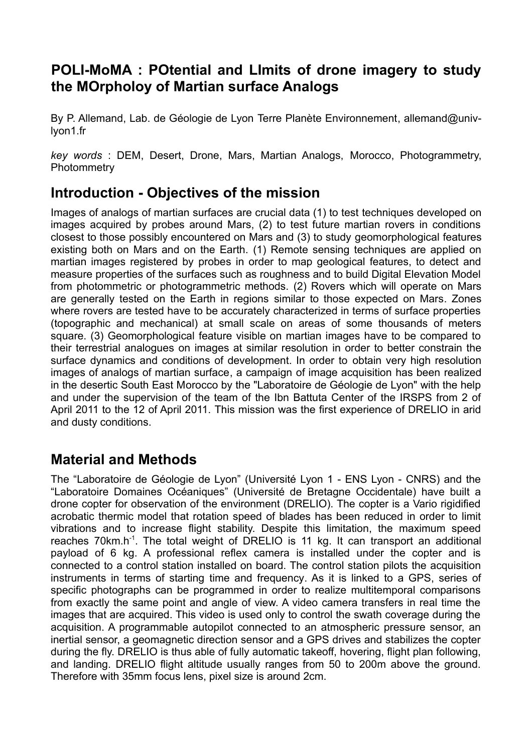#### **POLI-MoMA : POtential and LImits of drone imagery to study the MOrpholoy of Martian surface Analogs**

By P. Allemand, Lab. de Géologie de Lyon Terre Planète Environnement, allemand@univlyon1.fr

*key words* : DEM, Desert, Drone, Mars, Martian Analogs, Morocco, Photogrammetry, **Photommetry** 

## **Introduction - Objectives of the mission**

Images of analogs of martian surfaces are crucial data (1) to test techniques developed on images acquired by probes around Mars, (2) to test future martian rovers in conditions closest to those possibly encountered on Mars and (3) to study geomorphological features existing both on Mars and on the Earth. (1) Remote sensing techniques are applied on martian images registered by probes in order to map geological features, to detect and measure properties of the surfaces such as roughness and to build Digital Elevation Model from photommetric or photogrammetric methods. (2) Rovers which will operate on Mars are generally tested on the Earth in regions similar to those expected on Mars. Zones where rovers are tested have to be accurately characterized in terms of surface properties (topographic and mechanical) at small scale on areas of some thousands of meters square. (3) Geomorphological feature visible on martian images have to be compared to their terrestrial analogues on images at similar resolution in order to better constrain the surface dynamics and conditions of development. In order to obtain very high resolution images of analogs of martian surface, a campaign of image acquisition has been realized in the desertic South East Morocco by the "Laboratoire de Géologie de Lyon" with the help and under the supervision of the team of the Ibn Battuta Center of the IRSPS from 2 of April 2011 to the 12 of April 2011. This mission was the first experience of DRELIO in arid and dusty conditions.

## **Material and Methods**

The "Laboratoire de Géologie de Lyon" (Université Lyon 1 - ENS Lyon - CNRS) and the "Laboratoire Domaines Océaniques" (Université de Bretagne Occidentale) have built a drone copter for observation of the environment (DRELIO). The copter is a Vario rigidified acrobatic thermic model that rotation speed of blades has been reduced in order to limit vibrations and to increase flight stability. Despite this limitation, the maximum speed reaches 70km.h<sup>-1</sup>. The total weight of DRELIO is 11 kg. It can transport an additional payload of 6 kg. A professional reflex camera is installed under the copter and is connected to a control station installed on board. The control station pilots the acquisition instruments in terms of starting time and frequency. As it is linked to a GPS, series of specific photographs can be programmed in order to realize multitemporal comparisons from exactly the same point and angle of view. A video camera transfers in real time the images that are acquired. This video is used only to control the swath coverage during the acquisition. A programmable autopilot connected to an atmospheric pressure sensor, an inertial sensor, a geomagnetic direction sensor and a GPS drives and stabilizes the copter during the fly. DRELIO is thus able of fully automatic takeoff, hovering, flight plan following, and landing. DRELIO flight altitude usually ranges from 50 to 200m above the ground. Therefore with 35mm focus lens, pixel size is around 2cm.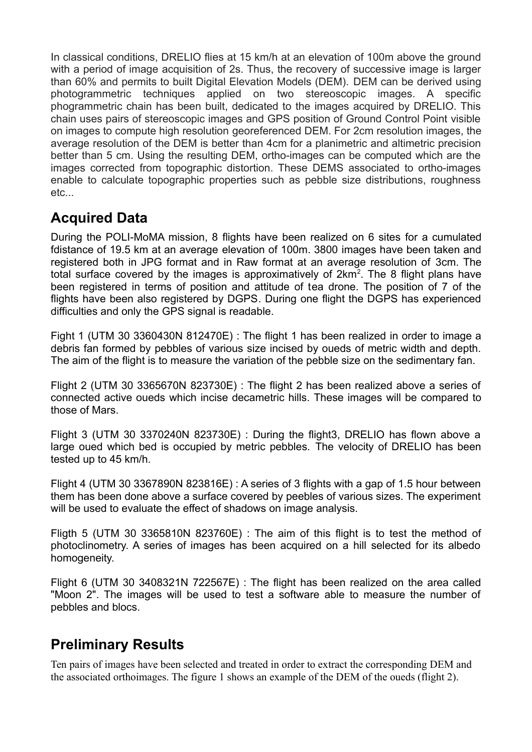In classical conditions, DRELIO flies at 15 km/h at an elevation of 100m above the ground with a period of image acquisition of 2s. Thus, the recovery of successive image is larger than 60% and permits to built Digital Elevation Models (DEM). DEM can be derived using photogrammetric techniques applied on two stereoscopic images. A specific phogrammetric chain has been built, dedicated to the images acquired by DRELIO. This chain uses pairs of stereoscopic images and GPS position of Ground Control Point visible on images to compute high resolution georeferenced DEM. For 2cm resolution images, the average resolution of the DEM is better than 4cm for a planimetric and altimetric precision better than 5 cm. Using the resulting DEM, ortho-images can be computed which are the images corrected from topographic distortion. These DEMS associated to ortho-images enable to calculate topographic properties such as pebble size distributions, roughness etc...

# **Acquired Data**

During the POLI-MoMA mission, 8 flights have been realized on 6 sites for a cumulated fdistance of 19.5 km at an average elevation of 100m. 3800 images have been taken and registered both in JPG format and in Raw format at an average resolution of 3cm. The total surface covered by the images is approximatively of  $2km^2$ . The 8 flight plans have been registered in terms of position and attitude of tea drone. The position of 7 of the flights have been also registered by DGPS. During one flight the DGPS has experienced difficulties and only the GPS signal is readable.

Fight 1 (UTM 30 3360430N 812470E) : The flight 1 has been realized in order to image a debris fan formed by pebbles of various size incised by oueds of metric width and depth. The aim of the flight is to measure the variation of the pebble size on the sedimentary fan.

Flight 2 (UTM 30 3365670N 823730E) : The flight 2 has been realized above a series of connected active oueds which incise decametric hills. These images will be compared to those of Mars.

Flight 3 (UTM 30 3370240N 823730E) : During the flight3, DRELIO has flown above a large oued which bed is occupied by metric pebbles. The velocity of DRELIO has been tested up to 45 km/h.

Flight 4 (UTM 30 3367890N 823816E) : A series of 3 flights with a gap of 1.5 hour between them has been done above a surface covered by peebles of various sizes. The experiment will be used to evaluate the effect of shadows on image analysis.

Fligth 5 (UTM 30 3365810N 823760E) : The aim of this flight is to test the method of photoclinometry. A series of images has been acquired on a hill selected for its albedo homogeneity.

Flight 6 (UTM 30 3408321N 722567E) : The flight has been realized on the area called "Moon 2". The images will be used to test a software able to measure the number of pebbles and blocs.

## **Preliminary Results**

Ten pairs of images have been selected and treated in order to extract the corresponding DEM and the associated orthoimages. The figure 1 shows an example of the DEM of the oueds (flight 2).